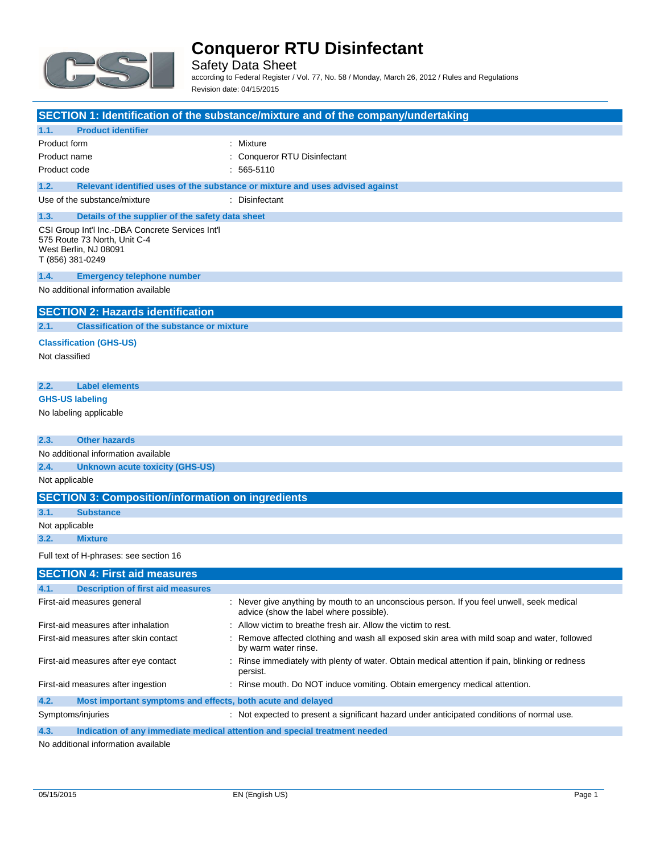

Safety Data Sheet according to Federal Register / Vol. 77, No. 58 / Monday, March 26, 2012 / Rules and Regulations Revision date: 04/15/2015

|                                                                                                                               | SECTION 1: Identification of the substance/mixture and of the company/undertaking                                                    |
|-------------------------------------------------------------------------------------------------------------------------------|--------------------------------------------------------------------------------------------------------------------------------------|
| 1.1.<br><b>Product identifier</b>                                                                                             |                                                                                                                                      |
| Product form                                                                                                                  | : Mixture                                                                                                                            |
| Product name                                                                                                                  | : Conqueror RTU Disinfectant                                                                                                         |
| Product code                                                                                                                  | $: 565-5110$                                                                                                                         |
| 1.2.                                                                                                                          | Relevant identified uses of the substance or mixture and uses advised against                                                        |
| Use of the substance/mixture                                                                                                  | : Disinfectant                                                                                                                       |
| 1.3.<br>Details of the supplier of the safety data sheet                                                                      |                                                                                                                                      |
| CSI Group Int'l Inc.-DBA Concrete Services Int'l<br>575 Route 73 North, Unit C-4<br>West Berlin, NJ 08091<br>T (856) 381-0249 |                                                                                                                                      |
| 1.4.<br><b>Emergency telephone number</b>                                                                                     |                                                                                                                                      |
| No additional information available                                                                                           |                                                                                                                                      |
| <b>SECTION 2: Hazards identification</b>                                                                                      |                                                                                                                                      |
| <b>Classification of the substance or mixture</b><br>2.1.                                                                     |                                                                                                                                      |
| <b>Classification (GHS-US)</b>                                                                                                |                                                                                                                                      |
| Not classified                                                                                                                |                                                                                                                                      |
|                                                                                                                               |                                                                                                                                      |
| 2.2.<br><b>Label elements</b>                                                                                                 |                                                                                                                                      |
| <b>GHS-US labeling</b>                                                                                                        |                                                                                                                                      |
| No labeling applicable                                                                                                        |                                                                                                                                      |
|                                                                                                                               |                                                                                                                                      |
| <b>Other hazards</b><br>2.3.                                                                                                  |                                                                                                                                      |
| No additional information available                                                                                           |                                                                                                                                      |
| 2.4.<br><b>Unknown acute toxicity (GHS-US)</b>                                                                                |                                                                                                                                      |
| Not applicable                                                                                                                |                                                                                                                                      |
| <b>SECTION 3: Composition/information on ingredients</b>                                                                      |                                                                                                                                      |
| 3.1.<br><b>Substance</b>                                                                                                      |                                                                                                                                      |
| Not applicable                                                                                                                |                                                                                                                                      |
| 3.2.<br><b>Mixture</b>                                                                                                        |                                                                                                                                      |
| Full text of H-phrases: see section 16                                                                                        |                                                                                                                                      |
| <b>SECTION 4: First aid measures</b>                                                                                          |                                                                                                                                      |
| <b>Description of first aid measures</b>                                                                                      |                                                                                                                                      |
| First-aid measures general                                                                                                    | : Never give anything by mouth to an unconscious person. If you feel unwell, seek medical<br>advice (show the label where possible). |
| First-aid measures after inhalation                                                                                           | : Allow victim to breathe fresh air. Allow the victim to rest.                                                                       |
| First-aid measures after skin contact                                                                                         | : Remove affected clothing and wash all exposed skin area with mild soap and water, followed<br>by warm water rinse.                 |
| First-aid measures after eye contact                                                                                          | : Rinse immediately with plenty of water. Obtain medical attention if pain, blinking or redness<br>persist.                          |
| First-aid measures after ingestion                                                                                            | : Rinse mouth. Do NOT induce vomiting. Obtain emergency medical attention.                                                           |
| 4.2.<br>Most important symptoms and effects, both acute and delayed                                                           |                                                                                                                                      |
| Symptoms/injuries                                                                                                             | : Not expected to present a significant hazard under anticipated conditions of normal use.                                           |

**4.3. Indication of any immediate medical attention and special treatment needed**

No additional information available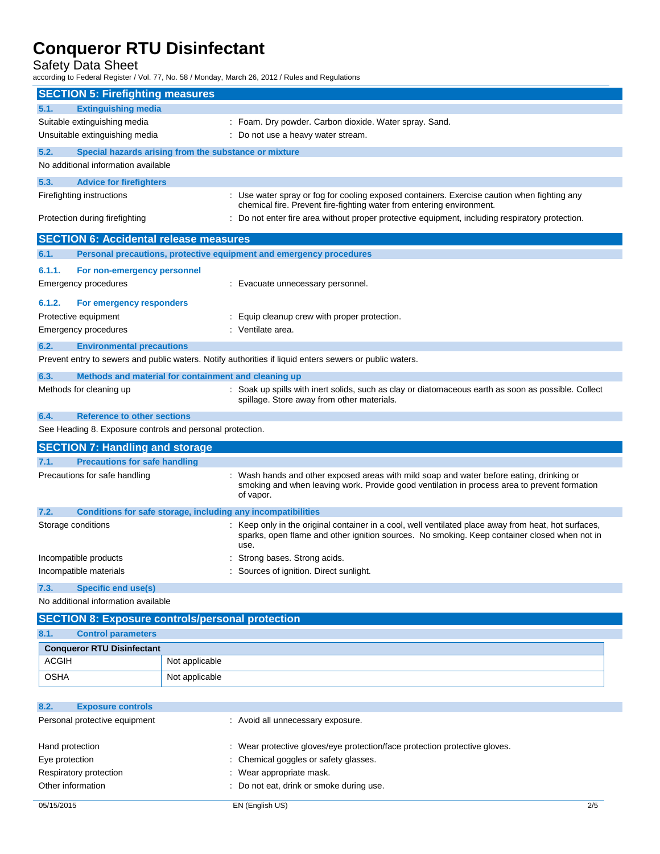Safety Data Sheet

according to Federal Register / Vol. 77, No. 58 / Monday, March 26, 2012 / Rules and Regulations

|                                                                                                                                                                                                   | <b>SECTION 5: Firefighting measures</b>                   |                |                                                                                                                                                                                                              |  |
|---------------------------------------------------------------------------------------------------------------------------------------------------------------------------------------------------|-----------------------------------------------------------|----------------|--------------------------------------------------------------------------------------------------------------------------------------------------------------------------------------------------------------|--|
| 5.1.                                                                                                                                                                                              | <b>Extinguishing media</b>                                |                |                                                                                                                                                                                                              |  |
| Suitable extinguishing media                                                                                                                                                                      |                                                           |                | : Foam. Dry powder. Carbon dioxide. Water spray. Sand.                                                                                                                                                       |  |
|                                                                                                                                                                                                   | Unsuitable extinguishing media                            |                | : Do not use a heavy water stream.                                                                                                                                                                           |  |
| 5.2.                                                                                                                                                                                              | Special hazards arising from the substance or mixture     |                |                                                                                                                                                                                                              |  |
|                                                                                                                                                                                                   | No additional information available                       |                |                                                                                                                                                                                                              |  |
| 5.3.                                                                                                                                                                                              | <b>Advice for firefighters</b>                            |                |                                                                                                                                                                                                              |  |
| Firefighting instructions<br>: Use water spray or fog for cooling exposed containers. Exercise caution when fighting any<br>chemical fire. Prevent fire-fighting water from entering environment. |                                                           |                |                                                                                                                                                                                                              |  |
| Protection during firefighting<br>: Do not enter fire area without proper protective equipment, including respiratory protection.                                                                 |                                                           |                |                                                                                                                                                                                                              |  |
|                                                                                                                                                                                                   | <b>SECTION 6: Accidental release measures</b>             |                |                                                                                                                                                                                                              |  |
| 6.1.                                                                                                                                                                                              |                                                           |                | Personal precautions, protective equipment and emergency procedures                                                                                                                                          |  |
| 6.1.1.                                                                                                                                                                                            | For non-emergency personnel                               |                |                                                                                                                                                                                                              |  |
|                                                                                                                                                                                                   | Emergency procedures                                      |                | : Evacuate unnecessary personnel.                                                                                                                                                                            |  |
|                                                                                                                                                                                                   |                                                           |                |                                                                                                                                                                                                              |  |
| 6.1.2.                                                                                                                                                                                            | For emergency responders                                  |                |                                                                                                                                                                                                              |  |
|                                                                                                                                                                                                   | Protective equipment                                      |                | Equip cleanup crew with proper protection.                                                                                                                                                                   |  |
|                                                                                                                                                                                                   | Emergency procedures                                      |                | : Ventilate area.                                                                                                                                                                                            |  |
| 6.2.                                                                                                                                                                                              | <b>Environmental precautions</b>                          |                |                                                                                                                                                                                                              |  |
|                                                                                                                                                                                                   |                                                           |                | Prevent entry to sewers and public waters. Notify authorities if liquid enters sewers or public waters.                                                                                                      |  |
| 6.3.                                                                                                                                                                                              | Methods and material for containment and cleaning up      |                |                                                                                                                                                                                                              |  |
|                                                                                                                                                                                                   | Methods for cleaning up                                   |                | : Soak up spills with inert solids, such as clay or diatomaceous earth as soon as possible. Collect<br>spillage. Store away from other materials.                                                            |  |
| 6.4.                                                                                                                                                                                              | <b>Reference to other sections</b>                        |                |                                                                                                                                                                                                              |  |
|                                                                                                                                                                                                   | See Heading 8. Exposure controls and personal protection. |                |                                                                                                                                                                                                              |  |
|                                                                                                                                                                                                   | <b>SECTION 7: Handling and storage</b>                    |                |                                                                                                                                                                                                              |  |
| 7.1.                                                                                                                                                                                              | <b>Precautions for safe handling</b>                      |                |                                                                                                                                                                                                              |  |
| Precautions for safe handling                                                                                                                                                                     |                                                           |                | Wash hands and other exposed areas with mild soap and water before eating, drinking or<br>smoking and when leaving work. Provide good ventilation in process area to prevent formation<br>of vapor.          |  |
| 7.2.                                                                                                                                                                                              |                                                           |                | Conditions for safe storage, including any incompatibilities                                                                                                                                                 |  |
| Storage conditions                                                                                                                                                                                |                                                           |                | : Keep only in the original container in a cool, well ventilated place away from heat, hot surfaces,<br>sparks, open flame and other ignition sources. No smoking. Keep container closed when not in<br>use. |  |
|                                                                                                                                                                                                   | Incompatible products                                     |                | : Strong bases. Strong acids.                                                                                                                                                                                |  |
|                                                                                                                                                                                                   | Incompatible materials                                    |                | : Sources of ignition. Direct sunlight.                                                                                                                                                                      |  |
| 7.3.                                                                                                                                                                                              | <b>Specific end use(s)</b>                                |                |                                                                                                                                                                                                              |  |
| No additional information available                                                                                                                                                               |                                                           |                |                                                                                                                                                                                                              |  |
|                                                                                                                                                                                                   | <b>SECTION 8: Exposure controls/personal protection</b>   |                |                                                                                                                                                                                                              |  |
| <b>Control parameters</b><br>8.1.                                                                                                                                                                 |                                                           |                |                                                                                                                                                                                                              |  |
|                                                                                                                                                                                                   | <b>Conqueror RTU Disinfectant</b>                         |                |                                                                                                                                                                                                              |  |
| <b>ACGIH</b>                                                                                                                                                                                      |                                                           | Not applicable |                                                                                                                                                                                                              |  |
| <b>OSHA</b>                                                                                                                                                                                       |                                                           | Not applicable |                                                                                                                                                                                                              |  |
|                                                                                                                                                                                                   |                                                           |                |                                                                                                                                                                                                              |  |
| 8.2.                                                                                                                                                                                              | <b>Exposure controls</b>                                  |                |                                                                                                                                                                                                              |  |

| Personal protective equipment | : Avoid all unnecessary exposure.                                          |
|-------------------------------|----------------------------------------------------------------------------|
| Hand protection               | : Wear protective gloves/eye protection/face protection protective gloves. |
| Eye protection                | : Chemical goggles or safety glasses.                                      |
| Respiratory protection        | : Wear appropriate mask.                                                   |
| Other information             | : Do not eat, drink or smoke during use.                                   |
| 05/15/2015                    | EN (English US)<br>2/5                                                     |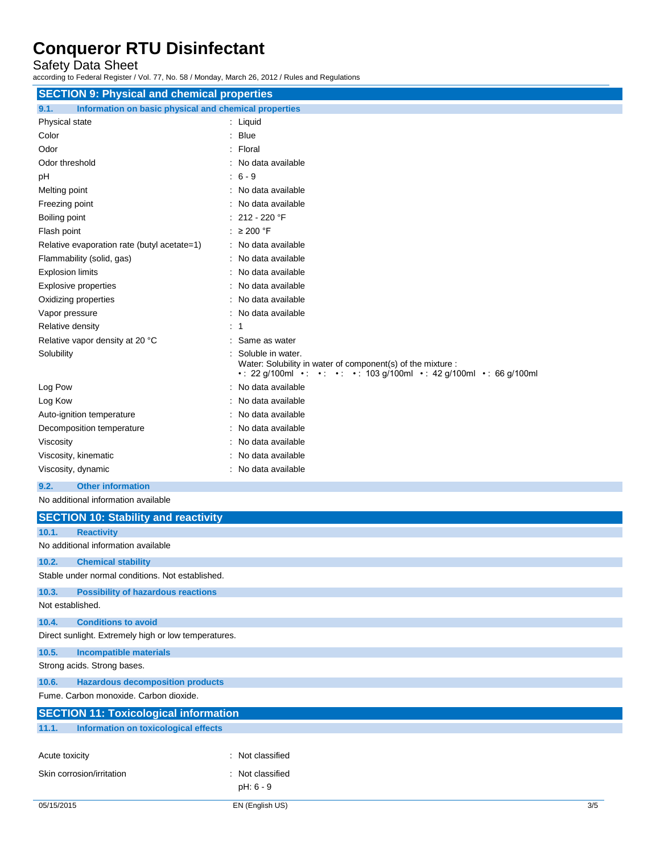Safety Data Sheet

according to Federal Register / Vol. 77, No. 58 / Monday, March 26, 2012 / Rules and Regulations

| <b>SECTION 9: Physical and chemical properties</b>            |                                                                                                                                                              |  |
|---------------------------------------------------------------|--------------------------------------------------------------------------------------------------------------------------------------------------------------|--|
| Information on basic physical and chemical properties<br>9.1. |                                                                                                                                                              |  |
| Physical state                                                | : Liquid                                                                                                                                                     |  |
| Color                                                         | : Blue                                                                                                                                                       |  |
| Odor                                                          | : Floral                                                                                                                                                     |  |
| Odor threshold                                                | : No data available                                                                                                                                          |  |
| pH                                                            | $: 6 - 9$                                                                                                                                                    |  |
| Melting point                                                 | : No data available                                                                                                                                          |  |
| Freezing point                                                | : No data available                                                                                                                                          |  |
| Boiling point                                                 | $: 212 - 220$ °F                                                                                                                                             |  |
| Flash point                                                   | : $\geq 200$ °F                                                                                                                                              |  |
| Relative evaporation rate (butyl acetate=1)                   | : No data available                                                                                                                                          |  |
| Flammability (solid, gas)                                     | : No data available                                                                                                                                          |  |
| <b>Explosion limits</b>                                       | : No data available                                                                                                                                          |  |
| Explosive properties                                          | : No data available                                                                                                                                          |  |
| Oxidizing properties                                          | : No data available                                                                                                                                          |  |
| Vapor pressure                                                | : No data available                                                                                                                                          |  |
| Relative density                                              | : 1                                                                                                                                                          |  |
| Relative vapor density at 20 °C                               | Same as water                                                                                                                                                |  |
| Solubility                                                    | Soluble in water.<br>Water: Solubility in water of component(s) of the mixture :<br>• : 22 g/100ml • : • : • : • : 103 g/100ml • : 42 g/100ml • : 66 g/100ml |  |
| Log Pow                                                       | : No data available                                                                                                                                          |  |
| Log Kow                                                       | : No data available                                                                                                                                          |  |
| Auto-ignition temperature                                     | : No data available                                                                                                                                          |  |
| Decomposition temperature                                     | : No data available                                                                                                                                          |  |
| Viscosity                                                     | : No data available                                                                                                                                          |  |
| Viscosity, kinematic                                          | : No data available                                                                                                                                          |  |
| Viscosity, dynamic                                            | : No data available                                                                                                                                          |  |
| <b>Other information</b><br>9.2.                              |                                                                                                                                                              |  |
| No additional information available                           |                                                                                                                                                              |  |
| <b>SECTION 10: Stability and reactivity</b>                   |                                                                                                                                                              |  |

|                | <u>010.1011 TO: Oldwinty and roadlivity</u>          |                  |     |
|----------------|------------------------------------------------------|------------------|-----|
| 10.1.          | <b>Reactivity</b>                                    |                  |     |
|                | No additional information available                  |                  |     |
| 10.2.          | <b>Chemical stability</b>                            |                  |     |
|                | Stable under normal conditions. Not established.     |                  |     |
| 10.3.          | <b>Possibility of hazardous reactions</b>            |                  |     |
|                | Not established.                                     |                  |     |
| 10.4.          | <b>Conditions to avoid</b>                           |                  |     |
|                | Direct sunlight. Extremely high or low temperatures. |                  |     |
| 10.5.          | <b>Incompatible materials</b>                        |                  |     |
|                | Strong acids. Strong bases.                          |                  |     |
| 10.6.          | <b>Hazardous decomposition products</b>              |                  |     |
|                | Fume, Carbon monoxide, Carbon dioxide.               |                  |     |
|                | <b>SECTION 11: Toxicological information</b>         |                  |     |
| 11.1.          | Information on toxicological effects                 |                  |     |
|                |                                                      |                  |     |
| Acute toxicity |                                                      | : Not classified |     |
|                | Skin corrosion/irritation                            | : Not classified |     |
|                |                                                      | $pH: 6 - 9$      |     |
| 05/15/2015     |                                                      | EN (English US)  | 3/5 |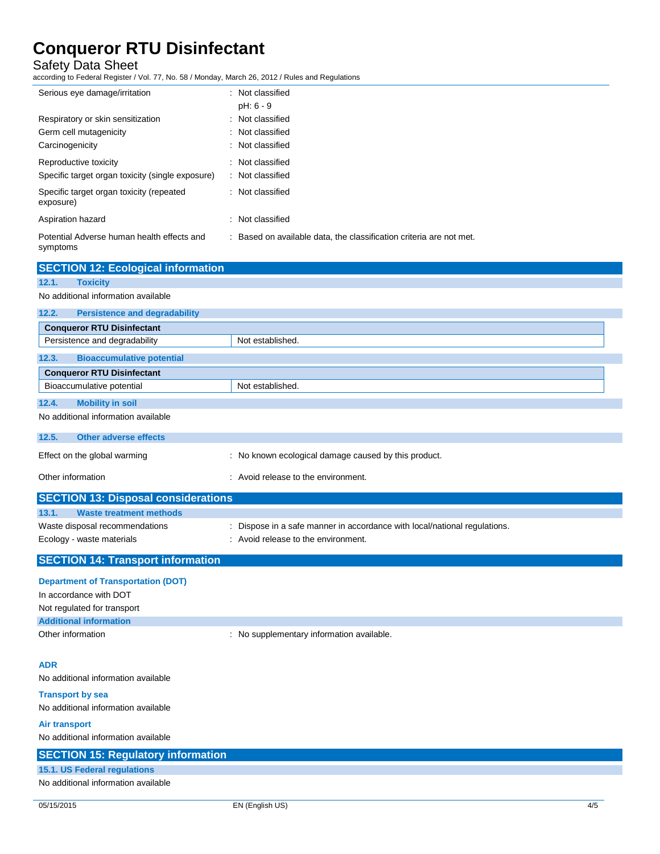Safety Data Sheet

according to Federal Register / Vol. 77, No. 58 / Monday, March 26, 2012 / Rules and Regulations

| Serious eye damage/irritation                          | : Not classified                                                    |
|--------------------------------------------------------|---------------------------------------------------------------------|
|                                                        | $pH: 6 - 9$                                                         |
| Respiratory or skin sensitization                      | : Not classified                                                    |
| Germ cell mutagenicity                                 | : Not classified                                                    |
| Carcinogenicity                                        | : Not classified                                                    |
| Reproductive toxicity                                  | : Not classified                                                    |
| Specific target organ toxicity (single exposure)       | : Not classified                                                    |
| Specific target organ toxicity (repeated<br>exposure)  | : Not classified                                                    |
| Aspiration hazard                                      | : Not classified                                                    |
| Potential Adverse human health effects and<br>symptoms | : Based on available data, the classification criteria are not met. |

| <b>SECTION 12: Ecological information</b>     |                                                                           |
|-----------------------------------------------|---------------------------------------------------------------------------|
| 12.1.<br><b>Toxicity</b>                      |                                                                           |
| No additional information available           |                                                                           |
| <b>Persistence and degradability</b><br>12.2. |                                                                           |
| <b>Conqueror RTU Disinfectant</b>             |                                                                           |
| Persistence and degradability                 | Not established.                                                          |
| <b>Bioaccumulative potential</b><br>12.3.     |                                                                           |
| <b>Conqueror RTU Disinfectant</b>             |                                                                           |
| Bioaccumulative potential                     | Not established.                                                          |
| <b>Mobility in soil</b><br>12.4.              |                                                                           |
| No additional information available           |                                                                           |
| 12.5.<br><b>Other adverse effects</b>         |                                                                           |
| Effect on the global warming                  | : No known ecological damage caused by this product.                      |
| Other information                             | : Avoid release to the environment.                                       |
| <b>SECTION 13: Disposal considerations</b>    |                                                                           |
| <b>Waste treatment methods</b><br>13.1.       |                                                                           |
| Waste disposal recommendations                | : Dispose in a safe manner in accordance with local/national regulations. |
| Ecology - waste materials                     | : Avoid release to the environment.                                       |
| <b>SECTION 14: Transport information</b>      |                                                                           |

### **Department of Transportation (DOT)**

| In accordance with DOT        |                                           |
|-------------------------------|-------------------------------------------|
| Not regulated for transport   |                                           |
| <b>Additional information</b> |                                           |
| Other information             | : No supplementary information available. |

### **ADR**

No additional information available

### **Transport by sea** No additional information available

**Air transport**

No additional information available

## **SECTION 15: Regulatory information 15.1. US Federal regulations** No additional information available